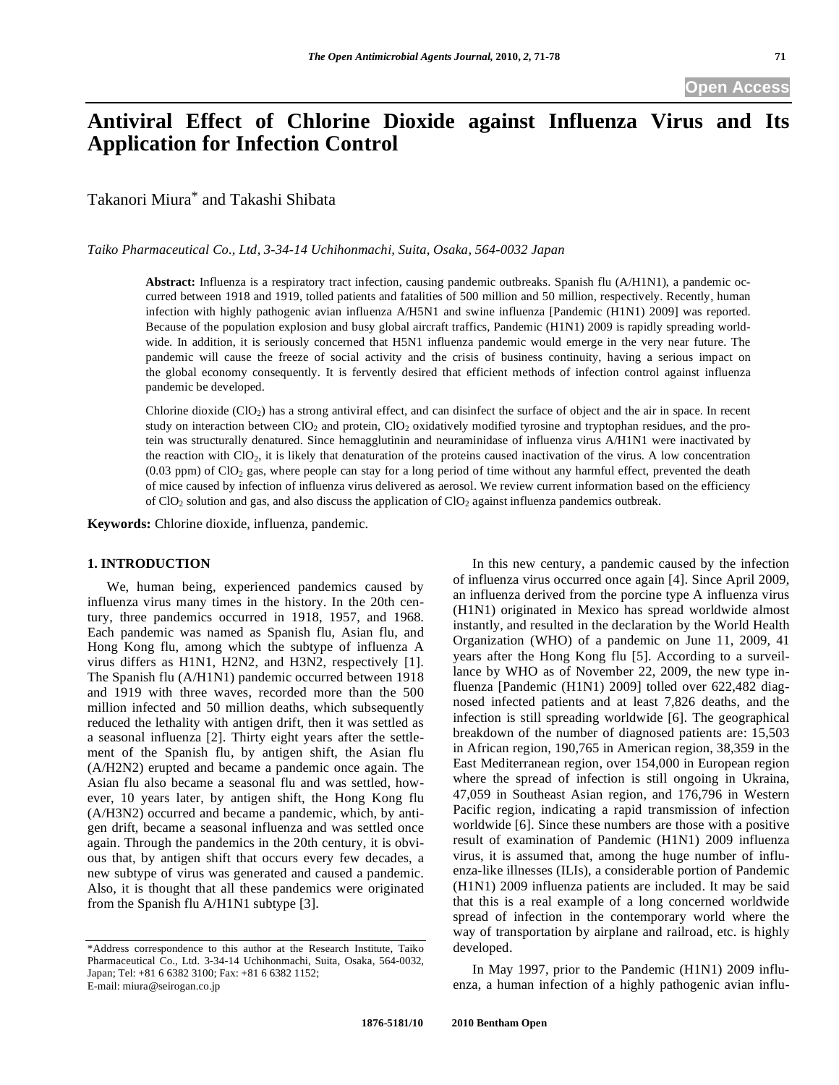**Open Access** 

# **Antiviral Effect of Chlorine Dioxide against Influenza Virus and Its Application for Infection Control**

Takanori Miura\* and Takashi Shibata

*Taiko Pharmaceutical Co., Ltd, 3-34-14 Uchihonmachi, Suita, Osaka, 564-0032 Japan* 

**Abstract:** Influenza is a respiratory tract infection, causing pandemic outbreaks. Spanish flu (A/H1N1), a pandemic occurred between 1918 and 1919, tolled patients and fatalities of 500 million and 50 million, respectively. Recently, human infection with highly pathogenic avian influenza A/H5N1 and swine influenza [Pandemic (H1N1) 2009] was reported. Because of the population explosion and busy global aircraft traffics, Pandemic (H1N1) 2009 is rapidly spreading worldwide. In addition, it is seriously concerned that H5N1 influenza pandemic would emerge in the very near future. The pandemic will cause the freeze of social activity and the crisis of business continuity, having a serious impact on the global economy consequently. It is fervently desired that efficient methods of infection control against influenza pandemic be developed.

Chlorine dioxide (ClO2) has a strong antiviral effect, and can disinfect the surface of object and the air in space. In recent study on interaction between  $ClO<sub>2</sub>$  and protein,  $ClO<sub>2</sub>$  oxidatively modified tyrosine and tryptophan residues, and the protein was structurally denatured. Since hemagglutinin and neuraminidase of influenza virus A/H1N1 were inactivated by the reaction with  $ClO<sub>2</sub>$ , it is likely that denaturation of the proteins caused inactivation of the virus. A low concentration  $(0.03$  ppm) of ClO<sub>2</sub> gas, where people can stay for a long period of time without any harmful effect, prevented the death of mice caused by infection of influenza virus delivered as aerosol. We review current information based on the efficiency of  $ClO<sub>2</sub>$  solution and gas, and also discuss the application of  $ClO<sub>2</sub>$  against influenza pandemics outbreak.

**Keywords:** Chlorine dioxide, influenza, pandemic.

#### **1. INTRODUCTION**

 We, human being, experienced pandemics caused by influenza virus many times in the history. In the 20th century, three pandemics occurred in 1918, 1957, and 1968. Each pandemic was named as Spanish flu, Asian flu, and Hong Kong flu, among which the subtype of influenza A virus differs as H1N1, H2N2, and H3N2, respectively [1]. The Spanish flu (A/H1N1) pandemic occurred between 1918 and 1919 with three waves, recorded more than the 500 million infected and 50 million deaths, which subsequently reduced the lethality with antigen drift, then it was settled as a seasonal influenza [2]. Thirty eight years after the settlement of the Spanish flu, by antigen shift, the Asian flu (A/H2N2) erupted and became a pandemic once again. The Asian flu also became a seasonal flu and was settled, however, 10 years later, by antigen shift, the Hong Kong flu (A/H3N2) occurred and became a pandemic, which, by antigen drift, became a seasonal influenza and was settled once again. Through the pandemics in the 20th century, it is obvious that, by antigen shift that occurs every few decades, a new subtype of virus was generated and caused a pandemic. Also, it is thought that all these pandemics were originated from the Spanish flu A/H1N1 subtype [3].

 In this new century, a pandemic caused by the infection of influenza virus occurred once again [4]. Since April 2009, an influenza derived from the porcine type A influenza virus (H1N1) originated in Mexico has spread worldwide almost instantly, and resulted in the declaration by the World Health Organization (WHO) of a pandemic on June 11, 2009, 41 years after the Hong Kong flu [5]. According to a surveillance by WHO as of November 22, 2009, the new type influenza [Pandemic (H1N1) 2009] tolled over 622,482 diagnosed infected patients and at least 7,826 deaths, and the infection is still spreading worldwide [6]. The geographical breakdown of the number of diagnosed patients are: 15,503 in African region, 190,765 in American region, 38,359 in the East Mediterranean region, over 154,000 in European region where the spread of infection is still ongoing in Ukraina, 47,059 in Southeast Asian region, and 176,796 in Western Pacific region, indicating a rapid transmission of infection worldwide [6]. Since these numbers are those with a positive result of examination of Pandemic (H1N1) 2009 influenza virus, it is assumed that, among the huge number of influenza-like illnesses (ILIs), a considerable portion of Pandemic (H1N1) 2009 influenza patients are included. It may be said that this is a real example of a long concerned worldwide spread of infection in the contemporary world where the way of transportation by airplane and railroad, etc. is highly developed.

 In May 1997, prior to the Pandemic (H1N1) 2009 influenza, a human infection of a highly pathogenic avian influ-

<sup>\*</sup>Address correspondence to this author at the Research Institute, Taiko Pharmaceutical Co., Ltd. 3-34-14 Uchihonmachi, Suita, Osaka, 564-0032, Japan; Tel: +81 6 6382 3100; Fax: +81 6 6382 1152; E-mail: miura@seirogan.co.jp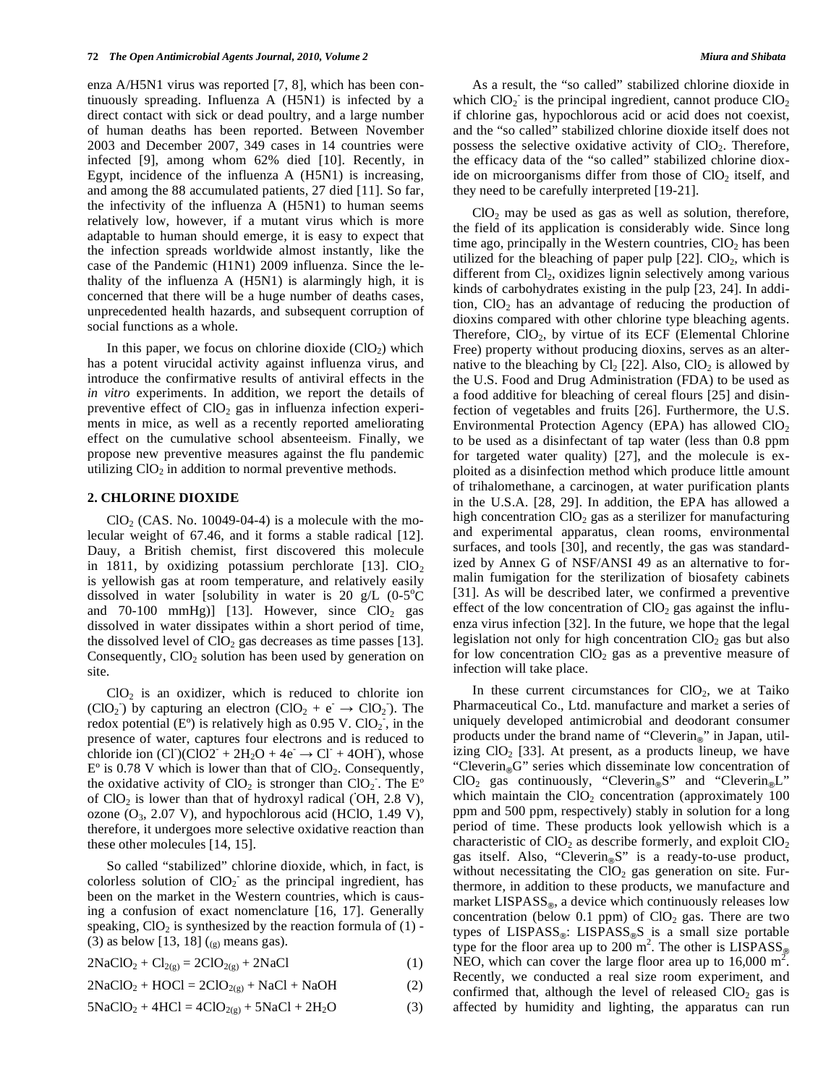enza A/H5N1 virus was reported [7, 8], which has been continuously spreading. Influenza A (H5N1) is infected by a direct contact with sick or dead poultry, and a large number of human deaths has been reported. Between November 2003 and December 2007, 349 cases in 14 countries were infected [9], among whom 62% died [10]. Recently, in Egypt, incidence of the influenza A (H5N1) is increasing, and among the 88 accumulated patients, 27 died [11]. So far, the infectivity of the influenza A (H5N1) to human seems relatively low, however, if a mutant virus which is more adaptable to human should emerge, it is easy to expect that the infection spreads worldwide almost instantly, like the case of the Pandemic (H1N1) 2009 influenza. Since the lethality of the influenza A (H5N1) is alarmingly high, it is concerned that there will be a huge number of deaths cases, unprecedented health hazards, and subsequent corruption of social functions as a whole.

In this paper, we focus on chlorine dioxide  $(CIO<sub>2</sub>)$  which has a potent virucidal activity against influenza virus, and introduce the confirmative results of antiviral effects in the *in vitro* experiments. In addition, we report the details of preventive effect of  $CIO<sub>2</sub>$  gas in influenza infection experiments in mice, as well as a recently reported ameliorating effect on the cumulative school absenteeism. Finally, we propose new preventive measures against the flu pandemic utilizing  $ClO<sub>2</sub>$  in addition to normal preventive methods.

#### **2. CHLORINE DIOXIDE**

 $ClO<sub>2</sub>$  (CAS. No. 10049-04-4) is a molecule with the molecular weight of 67.46, and it forms a stable radical [12]. Dauy, a British chemist, first discovered this molecule in 1811, by oxidizing potassium perchlorate  $[13]$ . ClO<sub>2</sub> is yellowish gas at room temperature, and relatively easily dissolved in water [solubility in water is 20 g/L  $(0-5^{\circ}\text{C})$ and 70-100 mmHg)] [13]. However, since  $ClO<sub>2</sub>$  gas dissolved in water dissipates within a short period of time, the dissolved level of  $ClO<sub>2</sub>$  gas decreases as time passes [13]. Consequently,  $ClO<sub>2</sub>$  solution has been used by generation on site.

 $ClO<sub>2</sub>$  is an oxidizer, which is reduced to chlorite ion  $(CIO<sub>2</sub>)$  by capturing an electron  $(CIO<sub>2</sub> + e^- \rightarrow ClO<sub>2</sub>)$ . The redox potential  $(E^{\circ})$  is relatively high as 0.95 V. ClO<sub>2</sub>, in the presence of water, captures four electrons and is reduced to chloride ion  $\left( \text{Cl} \right) \left( \text{Cl} \cdot \text{O} \cdot 2^+ + 2H_2O + 4e^- \rightarrow \text{Cl}^+ + 4OH \right)$ , whose  $E^{\circ}$  is 0.78 V which is lower than that of ClO<sub>2</sub>. Consequently, the oxidative activity of ClO<sub>2</sub> is stronger than ClO<sub>2</sub>. The  $\text{E}^{\circ}$ of ClO<sub>2</sub> is lower than that of hydroxyl radical (OH, 2.8 V), ozone  $(O_3, 2.07 \text{ V})$ , and hypochlorous acid (HClO, 1.49 V), therefore, it undergoes more selective oxidative reaction than these other molecules [14, 15].

 So called "stabilized" chlorine dioxide, which, in fact, is colorless solution of  $ClO<sub>2</sub>$  as the principal ingredient, has been on the market in the Western countries, which is causing a confusion of exact nomenclature [16, 17]. Generally speaking,  $ClO<sub>2</sub>$  is synthesized by the reaction formula of (1) -(3) as below [13, 18]  $(0, \text{means gas}).$ 

 $2NaClO<sub>2</sub> + Cl<sub>2(g)</sub> = 2ClO<sub>2(g)</sub> + 2NaCl$  (1)

 $2NaClO<sub>2</sub> + HOCI = 2ClO<sub>2(g)</sub> + NaCl + NaOH$  (2)

$$
5NaClO2 + 4HCl = 4ClO2(g) + 5NaCl + 2H2O
$$
 (3)

 As a result, the "so called" stabilized chlorine dioxide in which  $ClO<sub>2</sub>$  is the principal ingredient, cannot produce  $ClO<sub>2</sub>$ if chlorine gas, hypochlorous acid or acid does not coexist, and the "so called" stabilized chlorine dioxide itself does not possess the selective oxidative activity of  $ClO<sub>2</sub>$ . Therefore, the efficacy data of the "so called" stabilized chlorine dioxide on microorganisms differ from those of  $ClO<sub>2</sub>$  itself, and they need to be carefully interpreted [19-21].

 $ClO<sub>2</sub>$  may be used as gas as well as solution, therefore, the field of its application is considerably wide. Since long time ago, principally in the Western countries,  $ClO<sub>2</sub>$  has been utilized for the bleaching of paper pulp  $[22]$ . ClO<sub>2</sub>, which is different from  $Cl_2$ , oxidizes lignin selectively among various kinds of carbohydrates existing in the pulp [23, 24]. In addition,  $ClO<sub>2</sub>$  has an advantage of reducing the production of dioxins compared with other chlorine type bleaching agents. Therefore,  $ClO<sub>2</sub>$ , by virtue of its ECF (Elemental Chlorine Free) property without producing dioxins, serves as an alternative to the bleaching by Cl<sub>2</sub> [22]. Also, ClO<sub>2</sub> is allowed by the U.S. Food and Drug Administration (FDA) to be used as a food additive for bleaching of cereal flours [25] and disinfection of vegetables and fruits [26]. Furthermore, the U.S. Environmental Protection Agency (EPA) has allowed  $ClO<sub>2</sub>$ to be used as a disinfectant of tap water (less than 0.8 ppm for targeted water quality) [27], and the molecule is exploited as a disinfection method which produce little amount of trihalomethane, a carcinogen, at water purification plants in the U.S.A. [28, 29]. In addition, the EPA has allowed a high concentration  $ClO<sub>2</sub>$  gas as a sterilizer for manufacturing and experimental apparatus, clean rooms, environmental surfaces, and tools [30], and recently, the gas was standardized by Annex G of NSF/ANSI 49 as an alternative to formalin fumigation for the sterilization of biosafety cabinets [31]. As will be described later, we confirmed a preventive effect of the low concentration of  $ClO<sub>2</sub>$  gas against the influenza virus infection [32]. In the future, we hope that the legal legislation not only for high concentration  $ClO<sub>2</sub>$  gas but also for low concentration  $ClO<sub>2</sub>$  gas as a preventive measure of infection will take place.

In these current circumstances for  $CIO<sub>2</sub>$ , we at Taiko Pharmaceutical Co., Ltd. manufacture and market a series of uniquely developed antimicrobial and deodorant consumer products under the brand name of "Cleverin $_{\circ}$ " in Japan, utilizing  $ClO<sub>2</sub>$  [33]. At present, as a products lineup, we have "Cleverin<sub>®</sub>G" series which disseminate low concentration of  $ClO<sub>2</sub>$  gas continuously, "Cleverin®S" and "Cleverin®L" which maintain the  $ClO<sub>2</sub>$  concentration (approximately 100) ppm and 500 ppm, respectively) stably in solution for a long period of time. These products look yellowish which is a characteristic of  $ClO<sub>2</sub>$  as describe formerly, and exploit  $ClO<sub>2</sub>$ gas itself. Also, "Cleverin<sub>®</sub>S" is a ready-to-use product, without necessitating the  $ClO<sub>2</sub>$  gas generation on site. Furthermore, in addition to these products, we manufacture and market  $LISPASS_{\text{R}}$ , a device which continuously releases low concentration (below 0.1 ppm) of  $ClO<sub>2</sub>$  gas. There are two types of  $LISPASS_{\odot}$ :  $LISPASS_{\odot}S$  is a small size portable type for the floor area up to 200 m<sup>2</sup>. The other is  $LISPASS_{g0}$ NEO, which can cover the large floor area up to  $16,000 \text{ m}^2$ . Recently, we conducted a real size room experiment, and confirmed that, although the level of released  $ClO<sub>2</sub>$  gas is affected by humidity and lighting, the apparatus can run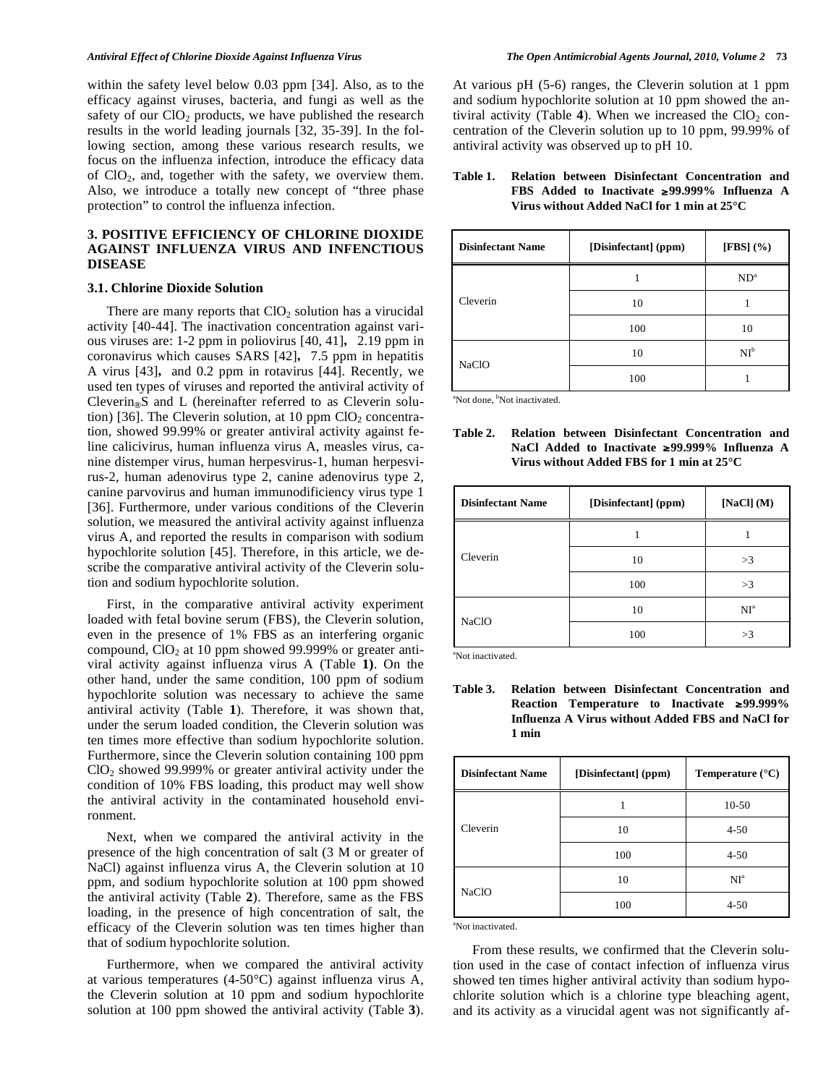within the safety level below 0.03 ppm [34]. Also, as to the efficacy against viruses, bacteria, and fungi as well as the safety of our  $ClO<sub>2</sub>$  products, we have published the research results in the world leading journals [32, 35-39]. In the following section, among these various research results, we focus on the influenza infection, introduce the efficacy data of  $ClO<sub>2</sub>$ , and, together with the safety, we overview them. Also, we introduce a totally new concept of "three phase protection" to control the influenza infection.

# **3. POSITIVE EFFICIENCY OF CHLORINE DIOXIDE AGAINST INFLUENZA VIRUS AND INFENCTIOUS DISEASE**

#### **3.1. Chlorine Dioxide Solution**

There are many reports that  $CIO<sub>2</sub>$  solution has a virucidal activity [40-44]. The inactivation concentration against various viruses are:  $1-2$  ppm in poliovirus  $[40, 41]$ ,  $2.19$  ppm in coronavirus which causes SARS [42], 7.5 ppm in hepatitis A virus [43], and 0.2 ppm in rotavirus [44]. Recently, we used ten types of viruses and reported the antiviral activity of Cleverin-S and L (hereinafter referred to as Cleverin solution) [36]. The Cleverin solution, at 10 ppm  $ClO<sub>2</sub>$  concentration, showed 99.99% or greater antiviral activity against feline calicivirus, human influenza virus A, measles virus, canine distemper virus, human herpesvirus-1, human herpesvirus-2, human adenovirus type 2, canine adenovirus type 2, canine parvovirus and human immunodificiency virus type 1 [36]. Furthermore, under various conditions of the Cleverin solution, we measured the antiviral activity against influenza virus A, and reported the results in comparison with sodium hypochlorite solution [45]. Therefore, in this article, we describe the comparative antiviral activity of the Cleverin solution and sodium hypochlorite solution.

 First, in the comparative antiviral activity experiment loaded with fetal bovine serum (FBS), the Cleverin solution, even in the presence of 1% FBS as an interfering organic compound,  $ClO<sub>2</sub>$  at 10 ppm showed 99.999% or greater antiviral activity against influenza virus A (Table **1)**. On the other hand, under the same condition, 100 ppm of sodium hypochlorite solution was necessary to achieve the same antiviral activity (Table **1**). Therefore, it was shown that, under the serum loaded condition, the Cleverin solution was ten times more effective than sodium hypochlorite solution. Furthermore, since the Cleverin solution containing 100 ppm  $ClO<sub>2</sub>$  showed 99.999% or greater antiviral activity under the condition of 10% FBS loading, this product may well show the antiviral activity in the contaminated household environment.

 Next, when we compared the antiviral activity in the presence of the high concentration of salt (3 M or greater of NaCl) against influenza virus A, the Cleverin solution at 10 ppm, and sodium hypochlorite solution at 100 ppm showed the antiviral activity (Table **2**). Therefore, same as the FBS loading, in the presence of high concentration of salt, the efficacy of the Cleverin solution was ten times higher than that of sodium hypochlorite solution.

 Furthermore, when we compared the antiviral activity at various temperatures (4-50°C) against influenza virus A, the Cleverin solution at 10 ppm and sodium hypochlorite solution at 100 ppm showed the antiviral activity (Table **3**). At various pH (5-6) ranges, the Cleverin solution at 1 ppm and sodium hypochlorite solution at 10 ppm showed the antiviral activity (Table 4). When we increased the  $ClO<sub>2</sub>$  concentration of the Cleverin solution up to 10 ppm, 99.99% of antiviral activity was observed up to pH 10.

#### **Table 1. Relation between Disinfectant Concentration and FBS Added to Inactivate 99.999% Influenza A Virus without Added NaCl for 1 min at 25°C**

| <b>Disinfectant Name</b> | [Disinfectant] (ppm) | [FBS] $(\% )$   |
|--------------------------|----------------------|-----------------|
|                          |                      | ND <sup>a</sup> |
| Cleverin                 | 10                   |                 |
|                          | 100                  | 10              |
| <b>NaClO</b>             | 10                   | NI <sup>b</sup> |
|                          | 100                  |                 |

<sup>a</sup>Not done, <sup>b</sup>Not inactivated.

**Table 2. Relation between Disinfectant Concentration and NaCl Added to Inactivate 99.999% Influenza A Virus without Added FBS for 1 min at 25°C** 

| <b>Disinfectant Name</b> | [Disinfectant] (ppm) | [NaCl] $(M)$ |  |
|--------------------------|----------------------|--------------|--|
|                          |                      |              |  |
| Cleverin                 | 10                   | >3           |  |
|                          | 100                  | >3           |  |
| <b>NaClO</b>             | 10                   | $NI^a$       |  |
|                          | 100                  | >3           |  |

<sup>a</sup>Not inactivated.

**Table 3. Relation between Disinfectant Concentration and Reaction Temperature to Inactivate 99.999% Influenza A Virus without Added FBS and NaCl for 1 min** 

| <b>Disinfectant Name</b> | [Disinfectant] (ppm) | Temperature $(^{\circ}C)$ |
|--------------------------|----------------------|---------------------------|
| Cleverin                 | 1                    | $10-50$                   |
|                          | 10                   | $4 - 50$                  |
|                          | 100                  | $4 - 50$                  |
| <b>NaClO</b>             | 10                   | $NI^a$                    |
|                          | 100                  | $4 - 50$                  |

<sup>a</sup>Not inactivated.

 From these results, we confirmed that the Cleverin solution used in the case of contact infection of influenza virus showed ten times higher antiviral activity than sodium hypochlorite solution which is a chlorine type bleaching agent, and its activity as a virucidal agent was not significantly af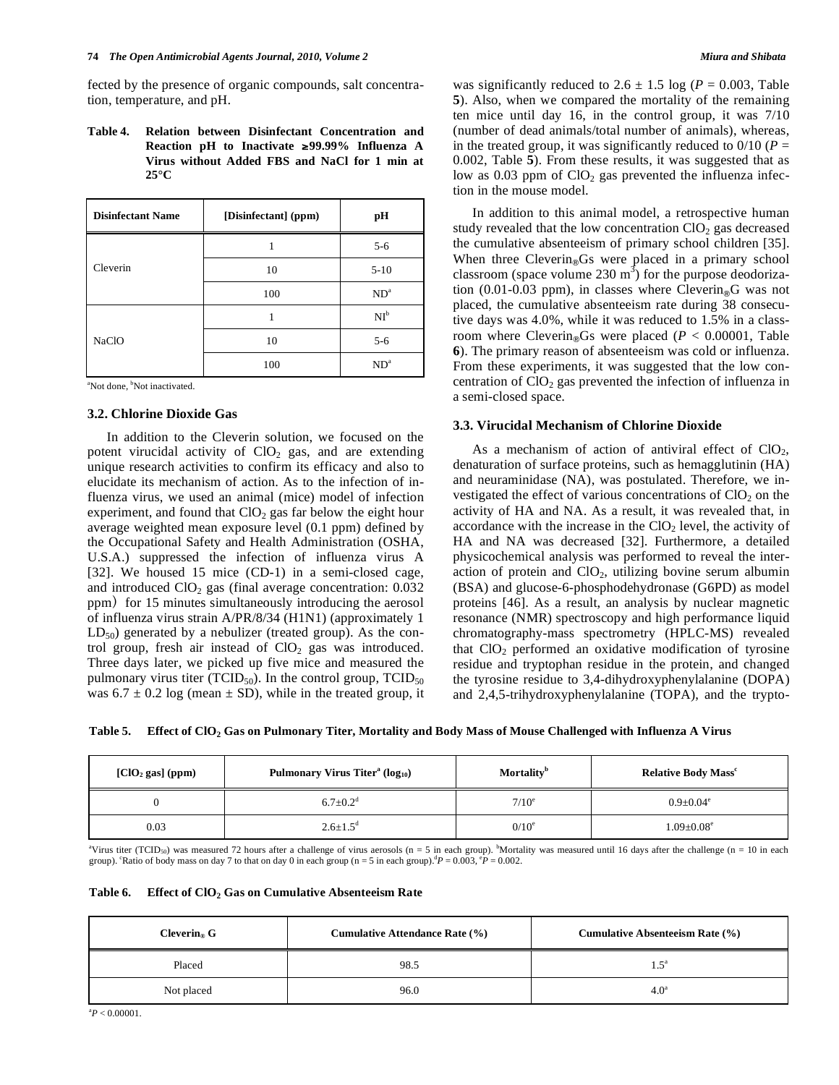fected by the presence of organic compounds, salt concentration, temperature, and pH.

**Table 4. Relation between Disinfectant Concentration and Reaction pH to Inactivate 99.99% Influenza A Virus without Added FBS and NaCl for 1 min at 25°C** 

| <b>Disinfectant Name</b> | [Disinfectant] (ppm) | pН      |
|--------------------------|----------------------|---------|
| Cleverin                 |                      | $5 - 6$ |
|                          | 10                   | $5-10$  |
|                          | 100                  | $ND^a$  |
| <b>NaClO</b>             |                      | $NI^b$  |
|                          | 10                   | $5 - 6$ |
|                          | 100                  | $ND^a$  |

<sup>a</sup>Not done, <sup>b</sup>Not inactivated.

# **3.2. Chlorine Dioxide Gas**

 In addition to the Cleverin solution, we focused on the potent virucidal activity of  $CIO<sub>2</sub>$  gas, and are extending unique research activities to confirm its efficacy and also to elucidate its mechanism of action. As to the infection of influenza virus, we used an animal (mice) model of infection experiment, and found that  $ClO<sub>2</sub>$  gas far below the eight hour average weighted mean exposure level (0.1 ppm) defined by the Occupational Safety and Health Administration (OSHA, U.S.A.) suppressed the infection of influenza virus A [32]. We housed 15 mice (CD-1) in a semi-closed cage, and introduced  $ClO<sub>2</sub>$  gas (final average concentration:  $0.032$ ppm) for 15 minutes simultaneously introducing the aerosol of influenza virus strain A/PR/8/34 (H1N1) (approximately 1  $LD_{50}$ ) generated by a nebulizer (treated group). As the control group, fresh air instead of  $CIO<sub>2</sub>$  gas was introduced. Three days later, we picked up five mice and measured the pulmonary virus titer (TCID $_{50}$ ). In the control group, TCID $_{50}$ was  $6.7 \pm 0.2$  log (mean  $\pm$  SD), while in the treated group, it was significantly reduced to  $2.6 \pm 1.5 \log (P = 0.003, \text{Table})$ **5**). Also, when we compared the mortality of the remaining ten mice until day 16, in the control group, it was 7/10 (number of dead animals/total number of animals), whereas, in the treated group, it was significantly reduced to  $0/10$  ( $P =$ 0.002, Table **5**). From these results, it was suggested that as low as  $0.03$  ppm of  $ClO<sub>2</sub>$  gas prevented the influenza infection in the mouse model.

 In addition to this animal model, a retrospective human study revealed that the low concentration  $ClO<sub>2</sub>$  gas decreased the cumulative absenteeism of primary school children [35]. When three Cleverin®Gs were placed in a primary school classroom (space volume 230  $m^3$ ) for the purpose deodorization (0.01-0.03 ppm), in classes where  $Cleverin_{\circledast}G$  was not placed, the cumulative absenteeism rate during 38 consecutive days was 4.0%, while it was reduced to 1.5% in a classroom where Cleverin<sub>®</sub>Gs were placed (*P* < 0.00001, Table **6**). The primary reason of absenteeism was cold or influenza. From these experiments, it was suggested that the low concentration of  $ClO<sub>2</sub>$  gas prevented the infection of influenza in a semi-closed space.

#### **3.3. Virucidal Mechanism of Chlorine Dioxide**

As a mechanism of action of antiviral effect of  $ClO<sub>2</sub>$ , denaturation of surface proteins, such as hemagglutinin (HA) and neuraminidase (NA), was postulated. Therefore, we investigated the effect of various concentrations of  $ClO<sub>2</sub>$  on the activity of HA and NA. As a result, it was revealed that, in accordance with the increase in the  $ClO<sub>2</sub>$  level, the activity of HA and NA was decreased [32]. Furthermore, a detailed physicochemical analysis was performed to reveal the interaction of protein and  $CIO<sub>2</sub>$ , utilizing bovine serum albumin (BSA) and glucose-6-phosphodehydronase (G6PD) as model proteins [46]. As a result, an analysis by nuclear magnetic resonance (NMR) spectroscopy and high performance liquid chromatography-mass spectrometry (HPLC-MS) revealed that  $ClO<sub>2</sub>$  performed an oxidative modification of tyrosine residue and tryptophan residue in the protein, and changed the tyrosine residue to 3,4-dihydroxyphenylalanine (DOPA) and 2,4,5-trihydroxyphenylalanine (TOPA), and the trypto-

**Table 5. Effect of ClO2 Gas on Pulmonary Titer, Mortality and Body Mass of Mouse Challenged with Influenza A Virus** 

| $[ClO2 gas]$ (ppm) | Pulmonary Virus Titer <sup>a</sup> ( $log_{10}$ ) | <b>Mortality</b> <sup>b</sup> | <b>Relative Body Mass<sup>c</sup></b> |
|--------------------|---------------------------------------------------|-------------------------------|---------------------------------------|
|                    | $6.7 \pm 0.2^{\rm d}$                             | $7/10^e$                      | $0.9 \pm 0.04^e$                      |
| 0.03               | $2.6 \pm 1.5$ <sup>d</sup>                        | $0/10^e$                      | $1.09 \pm 0.08$ <sup>e</sup>          |

"Virus titer (TCID<sub>50</sub>) was measured 72 hours after a challenge of virus aerosols (n = 5 in each group). "Mortality was measured until 16 days after the challenge (n = 10 in each group). <sup>c</sup>Ratio of body mass on day 7 to that on day 0 in each group (n = 5 in each group).  ${}^{d}P = 0.003$ ,  ${}^{e}P = 0.002$ .

| Table 6. | Effect of $CIO2$ Gas on Cumulative Absenteeism Rate |  |  |  |  |
|----------|-----------------------------------------------------|--|--|--|--|
|----------|-----------------------------------------------------|--|--|--|--|

| Cleverin <sub>®</sub> G | <b>Cumulative Attendance Rate (%)</b> | Cumulative Absenteeism Rate (%) |
|-------------------------|---------------------------------------|---------------------------------|
| Placed                  | 98.5                                  | . 5ª                            |
| Not placed              | 96.0                                  | 4.0 <sup>a</sup>                |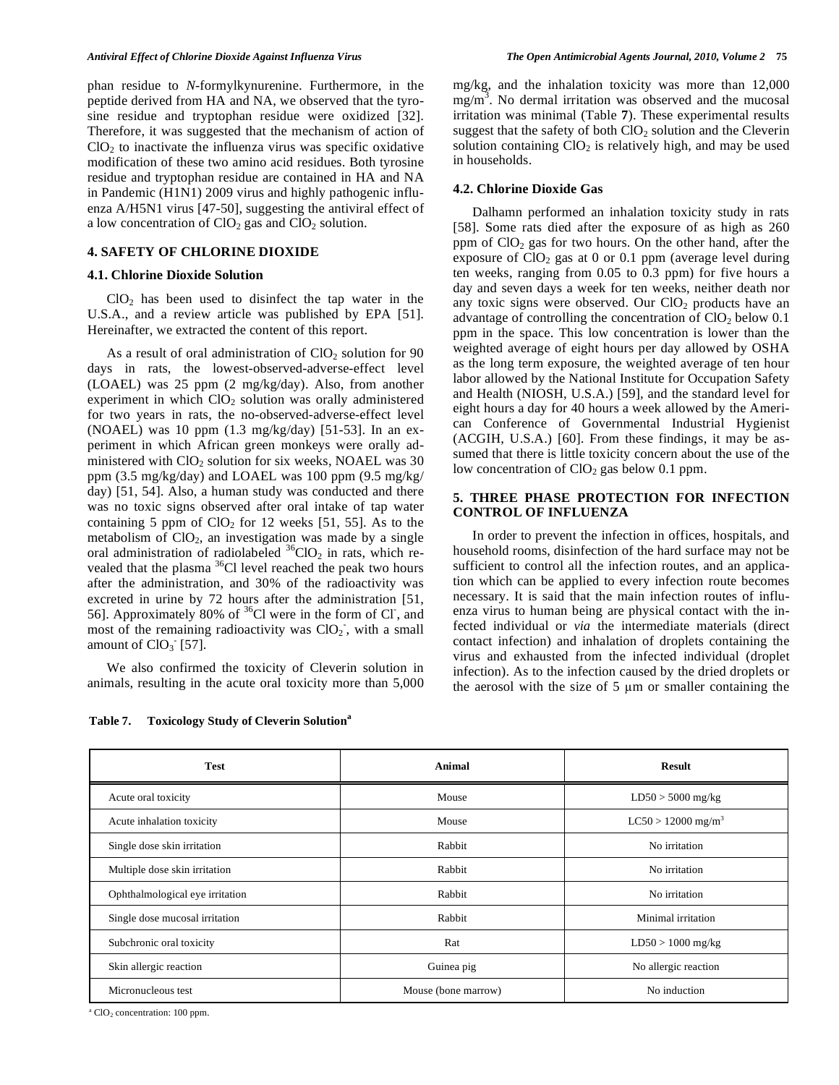phan residue to *N*-formylkynurenine. Furthermore, in the peptide derived from HA and NA, we observed that the tyrosine residue and tryptophan residue were oxidized [32]. Therefore, it was suggested that the mechanism of action of  $CIO<sub>2</sub>$  to inactivate the influenza virus was specific oxidative modification of these two amino acid residues. Both tyrosine residue and tryptophan residue are contained in HA and NA in Pandemic (H1N1) 2009 virus and highly pathogenic influenza A/H5N1 virus [47-50], suggesting the antiviral effect of a low concentration of  $ClO<sub>2</sub>$  gas and  $ClO<sub>2</sub>$  solution.

#### **4. SAFETY OF CHLORINE DIOXIDE**

#### **4.1. Chlorine Dioxide Solution**

 $ClO<sub>2</sub>$  has been used to disinfect the tap water in the U.S.A., and a review article was published by EPA [51]. Hereinafter, we extracted the content of this report.

As a result of oral administration of  $CIO<sub>2</sub>$  solution for 90 days in rats, the lowest-observed-adverse-effect level (LOAEL) was 25 ppm (2 mg/kg/day). Also, from another experiment in which  $ClO<sub>2</sub>$  solution was orally administered for two years in rats, the no-observed-adverse-effect level (NOAEL) was 10 ppm (1.3 mg/kg/day) [51-53]. In an experiment in which African green monkeys were orally administered with  $CIO<sub>2</sub>$  solution for six weeks, NOAEL was 30 ppm (3.5 mg/kg/day) and LOAEL was 100 ppm (9.5 mg/kg/ day) [51, 54]. Also, a human study was conducted and there was no toxic signs observed after oral intake of tap water containing 5 ppm of  $ClO<sub>2</sub>$  for 12 weeks [51, 55]. As to the metabolism of  $ClO<sub>2</sub>$ , an investigation was made by a single oral administration of radiolabeled  ${}^{36}$ ClO<sub>2</sub> in rats, which revealed that the plasma  ${}^{36}$ Cl level reached the peak two hours after the administration, and 30% of the radioactivity was excreted in urine by 72 hours after the administration [51, 56]. Approximately 80% of  ${}^{36}$ Cl were in the form of Cl, and most of the remaining radioactivity was  $ClO<sub>2</sub>$ , with a small amount of  $CIO<sub>3</sub>$  [57].

 We also confirmed the toxicity of Cleverin solution in animals, resulting in the acute oral toxicity more than 5,000

**Table 7. Toxicology Study of Cleverin Solution<sup>a</sup>**

mg/kg, and the inhalation toxicity was more than 12,000  $mg/m<sup>3</sup>$ . No dermal irritation was observed and the mucosal irritation was minimal (Table **7**). These experimental results suggest that the safety of both  $CIO<sub>2</sub>$  solution and the Cleverin solution containing  $ClO<sub>2</sub>$  is relatively high, and may be used in households.

# **4.2. Chlorine Dioxide Gas**

 Dalhamn performed an inhalation toxicity study in rats [58]. Some rats died after the exposure of as high as 260 ppm of  $ClO<sub>2</sub>$  gas for two hours. On the other hand, after the exposure of  $ClO<sub>2</sub>$  gas at 0 or 0.1 ppm (average level during ten weeks, ranging from 0.05 to 0.3 ppm) for five hours a day and seven days a week for ten weeks, neither death nor any toxic signs were observed. Our  $ClO<sub>2</sub>$  products have an advantage of controlling the concentration of  $ClO<sub>2</sub>$  below 0.1 ppm in the space. This low concentration is lower than the weighted average of eight hours per day allowed by OSHA as the long term exposure, the weighted average of ten hour labor allowed by the National Institute for Occupation Safety and Health (NIOSH, U.S.A.) [59], and the standard level for eight hours a day for 40 hours a week allowed by the American Conference of Governmental Industrial Hygienist (ACGIH, U.S.A.) [60]. From these findings, it may be assumed that there is little toxicity concern about the use of the low concentration of  $ClO<sub>2</sub>$  gas below 0.1 ppm.

# **5. THREE PHASE PROTECTION FOR INFECTION CONTROL OF INFLUENZA**

 In order to prevent the infection in offices, hospitals, and household rooms, disinfection of the hard surface may not be sufficient to control all the infection routes, and an application which can be applied to every infection route becomes necessary. It is said that the main infection routes of influenza virus to human being are physical contact with the infected individual or *via* the intermediate materials (direct contact infection) and inhalation of droplets containing the virus and exhausted from the infected individual (droplet infection). As to the infection caused by the dried droplets or the aerosol with the size of  $5 \mu m$  or smaller containing the

| <b>Test</b>                     | Animal              | <b>Result</b>                    |
|---------------------------------|---------------------|----------------------------------|
| Acute oral toxicity             | Mouse               | $LD50 > 5000$ mg/kg              |
| Acute inhalation toxicity       | Mouse               | $LC50 > 12000$ mg/m <sup>3</sup> |
| Single dose skin irritation     | Rabbit              | No irritation                    |
| Multiple dose skin irritation   | Rabbit              | No irritation                    |
| Ophthalmological eye irritation | Rabbit              | No irritation                    |
| Single dose mucosal irritation  | Rabbit              | Minimal irritation               |
| Subchronic oral toxicity        | Rat                 | $LD50 > 1000$ mg/kg              |
| Skin allergic reaction          | Guinea pig          | No allergic reaction             |
| Micronucleous test              | Mouse (bone marrow) | No induction                     |

<sup>a</sup> ClO<sub>2</sub> concentration: 100 ppm.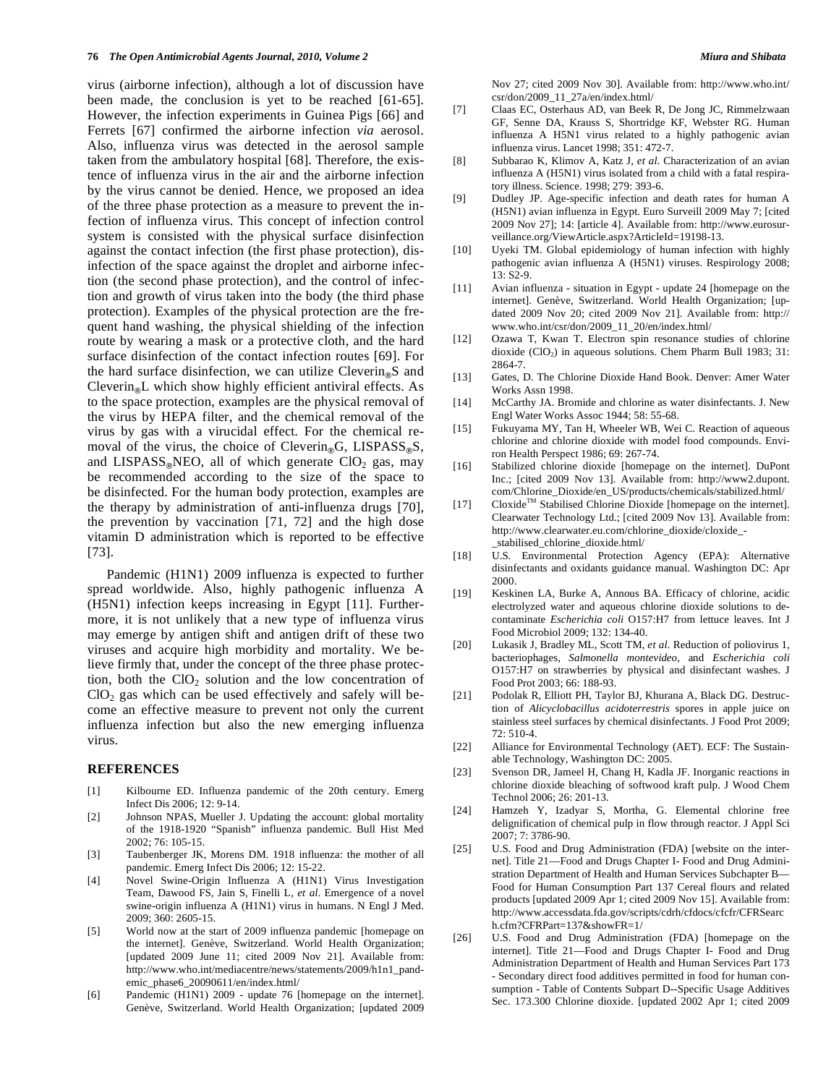virus (airborne infection), although a lot of discussion have been made, the conclusion is yet to be reached [61-65]. However, the infection experiments in Guinea Pigs [66] and Ferrets [67] confirmed the airborne infection *via* aerosol. Also, influenza virus was detected in the aerosol sample taken from the ambulatory hospital [68]. Therefore, the existence of influenza virus in the air and the airborne infection by the virus cannot be denied. Hence, we proposed an idea of the three phase protection as a measure to prevent the infection of influenza virus. This concept of infection control system is consisted with the physical surface disinfection against the contact infection (the first phase protection), disinfection of the space against the droplet and airborne infection (the second phase protection), and the control of infection and growth of virus taken into the body (the third phase protection). Examples of the physical protection are the frequent hand washing, the physical shielding of the infection route by wearing a mask or a protective cloth, and the hard surface disinfection of the contact infection routes [69]. For the hard surface disinfection, we can utilize Cleverin<sub>®</sub>S and Cleverin<sub>®</sub>L which show highly efficient antiviral effects. As to the space protection, examples are the physical removal of the virus by HEPA filter, and the chemical removal of the virus by gas with a virucidal effect. For the chemical removal of the virus, the choice of Cleverin<sub>®</sub>G, LISPASS<sub>®</sub>S, and  $LISPASS_{\mathcal{R}}NEO$ , all of which generate  $ClO<sub>2</sub>$  gas, may be recommended according to the size of the space to be disinfected. For the human body protection, examples are the therapy by administration of anti-influenza drugs [70], the prevention by vaccination [71, 72] and the high dose vitamin D administration which is reported to be effective [73].

 Pandemic (H1N1) 2009 influenza is expected to further spread worldwide. Also, highly pathogenic influenza A (H5N1) infection keeps increasing in Egypt [11]. Furthermore, it is not unlikely that a new type of influenza virus may emerge by antigen shift and antigen drift of these two viruses and acquire high morbidity and mortality. We believe firmly that, under the concept of the three phase protection, both the  $ClO<sub>2</sub>$  solution and the low concentration of  $ClO<sub>2</sub>$  gas which can be used effectively and safely will become an effective measure to prevent not only the current influenza infection but also the new emerging influenza virus.

#### **REFERENCES**

- [1] Kilbourne ED. Influenza pandemic of the 20th century. Emerg Infect Dis 2006; 12: 9-14.
- [2] Johnson NPAS, Mueller J. Updating the account: global mortality of the 1918-1920 "Spanish" influenza pandemic. Bull Hist Med 2002; 76: 105-15.
- [3] Taubenberger JK, Morens DM. 1918 influenza: the mother of all pandemic. Emerg Infect Dis 2006; 12: 15-22.
- [4] Novel Swine-Origin Influenza A (H1N1) Virus Investigation Team, Dawood FS, Jain S, Finelli L, *et al*. Emergence of a novel swine-origin influenza A (H1N1) virus in humans. N Engl J Med. 2009; 360: 2605-15.
- [5] World now at the start of 2009 influenza pandemic [homepage on the internet]. Genève, Switzerland. World Health Organization; [updated 2009 June 11; cited 2009 Nov 21]. Available from: http://www.who.int/mediacentre/news/statements/2009/h1n1\_pandemic\_phase6\_20090611/en/index.html/
- [6] Pandemic (H1N1) 2009 update 76 [homepage on the internet]. Genève, Switzerland. World Health Organization; [updated 2009

Nov 27; cited 2009 Nov 30]. Available from: http://www.who.int/ csr/don/2009\_11\_27a/en/index.html/

- [7] Claas EC, Osterhaus AD, van Beek R, De Jong JC, Rimmelzwaan GF, Senne DA, Krauss S, Shortridge KF, Webster RG. Human influenza A H5N1 virus related to a highly pathogenic avian influenza virus. Lancet 1998; 351: 472-7.
- [8] Subbarao K, Klimov A, Katz J, *et al*. Characterization of an avian influenza A (H5N1) virus isolated from a child with a fatal respiratory illness. Science. 1998; 279: 393-6.
- [9] Dudley JP. Age-specific infection and death rates for human A (H5N1) avian influenza in Egypt. Euro Surveill 2009 May 7; [cited 2009 Nov 27]; 14: [article 4]. Available from: http://www.eurosurveillance.org/ViewArticle.aspx?ArticleId=19198-13.
- [10] Uyeki TM. Global epidemiology of human infection with highly pathogenic avian influenza A (H5N1) viruses. Respirology 2008; 13: S2-9.
- [11] Avian influenza situation in Egypt update 24 [homepage on the internet]. Genève, Switzerland. World Health Organization; [updated 2009 Nov 20; cited 2009 Nov 21]. Available from: http:// www.who.int/csr/don/2009\_11\_20/en/index.html/
- [12] Ozawa T, Kwan T. Electron spin resonance studies of chlorine dioxide (ClO<sub>2</sub>) in aqueous solutions. Chem Pharm Bull 1983; 31: 2864-7.
- [13] Gates, D. The Chlorine Dioxide Hand Book. Denver: Amer Water Works Assn 1998.
- [14] McCarthy JA. Bromide and chlorine as water disinfectants. J. New Engl Water Works Assoc 1944; 58: 55-68.
- [15] Fukuyama MY, Tan H, Wheeler WB, Wei C. Reaction of aqueous chlorine and chlorine dioxide with model food compounds. Environ Health Perspect 1986; 69: 267-74.
- [16] Stabilized chlorine dioxide [homepage on the internet]. DuPont Inc.; [cited 2009 Nov 13]. Available from: http://www2.dupont. com/Chlorine\_Dioxide/en\_US/products/chemicals/stabilized.html/
- [17] Cloxide™ Stabilised Chlorine Dioxide [homepage on the internet]. Clearwater Technology Ltd.; [cited 2009 Nov 13]. Available from: http://www.clearwater.eu.com/chlorine\_dioxide/cloxide\_- \_stabilised\_chlorine\_dioxide.html/
- [18] U.S. Environmental Protection Agency (EPA): Alternative disinfectants and oxidants guidance manual. Washington DC: Apr 2000.
- [19] Keskinen LA, Burke A, Annous BA. Efficacy of chlorine, acidic electrolyzed water and aqueous chlorine dioxide solutions to decontaminate *Escherichia coli* O157:H7 from lettuce leaves. Int J Food Microbiol 2009; 132: 134-40.
- [20] Lukasik J, Bradley ML, Scott TM, *et al*. Reduction of poliovirus 1, bacteriophages, *Salmonella montevideo,* and *Escherichia coli* O157:H7 on strawberries by physical and disinfectant washes. J Food Prot 2003; 66: 188-93.
- [21] Podolak R, Elliott PH, Taylor BJ, Khurana A, Black DG. Destruction of *Alicyclobacillus acidoterrestris* spores in apple juice on stainless steel surfaces by chemical disinfectants. J Food Prot 2009; 72: 510-4.
- [22] Alliance for Environmental Technology (AET). ECF: The Sustainable Technology, Washington DC: 2005.
- [23] Svenson DR, Jameel H, Chang H, Kadla JF. Inorganic reactions in chlorine dioxide bleaching of softwood kraft pulp. J Wood Chem Technol 2006; 26: 201-13.
- [24] Hamzeh Y, Izadyar S, Mortha, G. Elemental chlorine free delignification of chemical pulp in flow through reactor. J Appl Sci 2007; 7: 3786-90.
- [25] U.S. Food and Drug Administration (FDA) [website on the internet]. Title 21—Food and Drugs Chapter I- Food and Drug Administration Department of Health and Human Services Subchapter B— Food for Human Consumption Part 137 Cereal flours and related products [updated 2009 Apr 1; cited 2009 Nov 15]. Available from: http://www.accessdata.fda.gov/scripts/cdrh/cfdocs/cfcfr/CFRSearc h.cfm?CFRPart=137&showFR=1/
- [26] U.S. Food and Drug Administration (FDA) [homepage on the internet]. Title 21—Food and Drugs Chapter I- Food and Drug Administration Department of Health and Human Services Part 173 - Secondary direct food additives permitted in food for human consumption - Table of Contents Subpart D--Specific Usage Additives Sec. 173.300 Chlorine dioxide. [updated 2002 Apr 1; cited 2009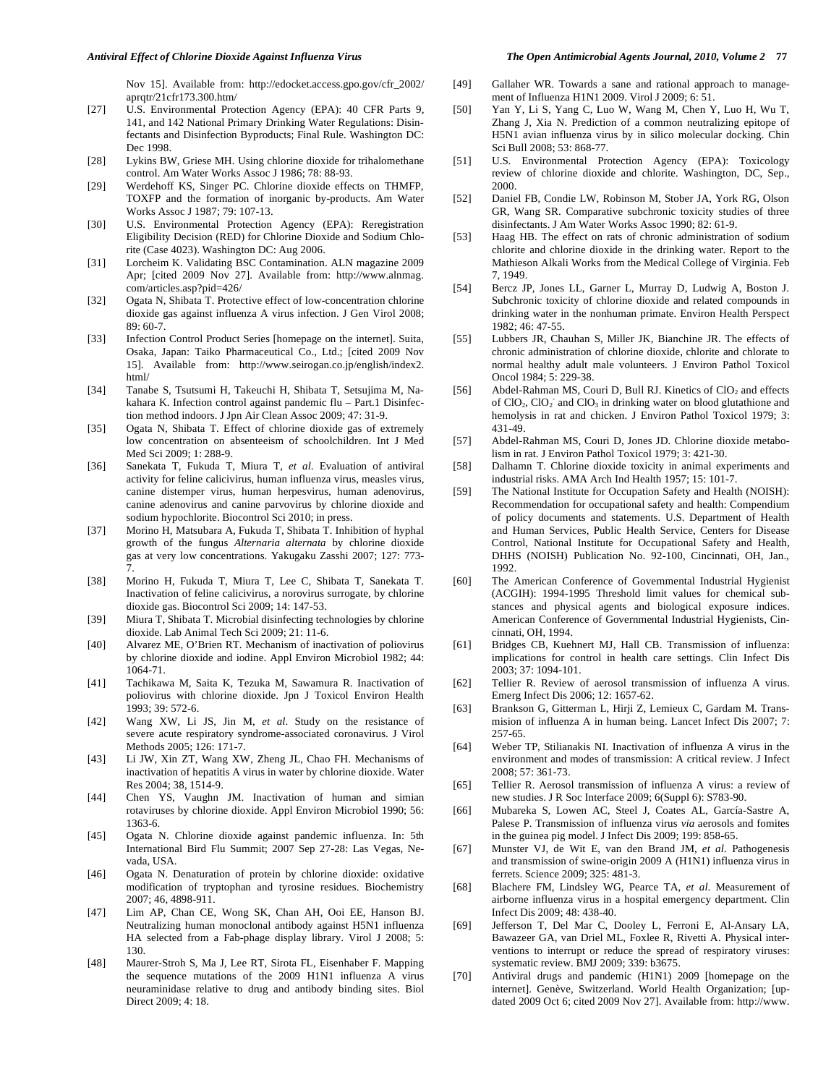#### *Antiviral Effect of Chlorine Dioxide Against Influenza Virus The Open Antimicrobial Agents Journal, 2010, Volume 2* **77**

Nov 15]. Available from: http://edocket.access.gpo.gov/cfr\_2002/ aprqtr/21cfr173.300.htm/

- [27] U.S. Environmental Protection Agency (EPA): 40 CFR Parts 9, 141, and 142 National Primary Drinking Water Regulations: Disinfectants and Disinfection Byproducts; Final Rule. Washington DC: Dec 1998.
- [28] Lykins BW, Griese MH. Using chlorine dioxide for trihalomethane control. Am Water Works Assoc J 1986; 78: 88-93.
- [29] Werdehoff KS, Singer PC. Chlorine dioxide effects on THMFP, TOXFP and the formation of inorganic by-products. Am Water Works Assoc J 1987; 79: 107-13.
- [30] U.S. Environmental Protection Agency (EPA): Reregistration Eligibility Decision (RED) for Chlorine Dioxide and Sodium Chlorite (Case 4023). Washington DC: Aug 2006.
- [31] Lorcheim K. Validating BSC Contamination. ALN magazine 2009 Apr; [cited 2009 Nov 27]. Available from: http://www.alnmag. com/articles.asp?pid=426/
- [32] Ogata N, Shibata T. Protective effect of low-concentration chlorine dioxide gas against influenza A virus infection. J Gen Virol 2008; 89: 60-7.
- [33] Infection Control Product Series [homepage on the internet]. Suita, Osaka, Japan: Taiko Pharmaceutical Co., Ltd.; [cited 2009 Nov 15]. Available from: http://www.seirogan.co.jp/english/index2. html/
- [34] Tanabe S, Tsutsumi H, Takeuchi H, Shibata T, Setsujima M, Nakahara K. Infection control against pandemic flu – Part.1 Disinfection method indoors. J Jpn Air Clean Assoc 2009; 47: 31-9.
- [35] Ogata N, Shibata T. Effect of chlorine dioxide gas of extremely low concentration on absenteeism of schoolchildren. Int J Med Med Sci 2009; 1: 288-9.
- [36] Sanekata T, Fukuda T, Miura T, *et al*. Evaluation of antiviral activity for feline calicivirus, human influenza virus, measles virus, canine distemper virus, human herpesvirus, human adenovirus, canine adenovirus and canine parvovirus by chlorine dioxide and sodium hypochlorite. Biocontrol Sci 2010; in press.
- [37] Morino H, Matsubara A, Fukuda T, Shibata T. Inhibition of hyphal growth of the fungus *Alternaria alternata* by chlorine dioxide gas at very low concentrations. Yakugaku Zasshi 2007; 127: 773- 7.
- [38] Morino H, Fukuda T, Miura T, Lee C, Shibata T, Sanekata T. Inactivation of feline calicivirus, a norovirus surrogate, by chlorine dioxide gas. Biocontrol Sci 2009; 14: 147-53.
- [39] Miura T, Shibata T. Microbial disinfecting technologies by chlorine dioxide. Lab Animal Tech Sci 2009; 21: 11-6.
- [40] Alvarez ME, O'Brien RT. Mechanism of inactivation of poliovirus by chlorine dioxide and iodine. Appl Environ Microbiol 1982; 44: 1064-71.
- [41] Tachikawa M, Saita K, Tezuka M, Sawamura R. Inactivation of poliovirus with chlorine dioxide. Jpn J Toxicol Environ Health 1993; 39: 572-6.
- [42] Wang XW, Li JS, Jin M, *et al*. Study on the resistance of severe acute respiratory syndrome-associated coronavirus. J Virol Methods 2005; 126: 171-7.
- [43] Li JW, Xin ZT, Wang XW, Zheng JL, Chao FH. Mechanisms of inactivation of hepatitis A virus in water by chlorine dioxide. Water Res 2004; 38, 1514-9.
- [44] Chen YS, Vaughn JM. Inactivation of human and simian rotaviruses by chlorine dioxide. Appl Environ Microbiol 1990; 56: 1363-6.
- [45] Ogata N. Chlorine dioxide against pandemic influenza. In: 5th International Bird Flu Summit; 2007 Sep 27-28: Las Vegas, Nevada, USA.
- [46] Ogata N. Denaturation of protein by chlorine dioxide: oxidative modification of tryptophan and tyrosine residues. Biochemistry 2007; 46, 4898-911.
- [47] Lim AP, Chan CE, Wong SK, Chan AH, Ooi EE, Hanson BJ. Neutralizing human monoclonal antibody against H5N1 influenza HA selected from a Fab-phage display library. Virol J 2008; 5: 130.
- [48] Maurer-Stroh S, Ma J, Lee RT, Sirota FL, Eisenhaber F. Mapping the sequence mutations of the 2009 H1N1 influenza A virus neuraminidase relative to drug and antibody binding sites. Biol Direct 2009; 4: 18.
- [49] Gallaher WR. Towards a sane and rational approach to management of Influenza H1N1 2009. Virol J 2009; 6: 51.
- [50] Yan Y, Li S, Yang C, Luo W, Wang M, Chen Y, Luo H, Wu T, Zhang J, Xia N. Prediction of a common neutralizing epitope of H5N1 avian influenza virus by in silico molecular docking. Chin Sci Bull 2008; 53: 868-77.
- [51] U.S. Environmental Protection Agency (EPA): Toxicology review of chlorine dioxide and chlorite. Washington, DC, Sep., 2000.
- [52] Daniel FB, Condie LW, Robinson M, Stober JA, York RG, Olson GR, Wang SR. Comparative subchronic toxicity studies of three disinfectants. J Am Water Works Assoc 1990; 82: 61-9.
- [53] Haag HB. The effect on rats of chronic administration of sodium chlorite and chlorine dioxide in the drinking water. Report to the Mathieson Alkali Works from the Medical College of Virginia. Feb 7, 1949.
- [54] Bercz JP, Jones LL, Garner L, Murray D, Ludwig A, Boston J. Subchronic toxicity of chlorine dioxide and related compounds in drinking water in the nonhuman primate. Environ Health Perspect 1982; 46: 47-55.
- [55] Lubbers JR, Chauhan S, Miller JK, Bianchine JR. The effects of chronic administration of chlorine dioxide, chlorite and chlorate to normal healthy adult male volunteers. J Environ Pathol Toxicol Oncol 1984; 5: 229-38.
- [56] Abdel-Rahman MS, Couri D, Bull RJ. Kinetics of ClO<sub>2</sub> and effects of ClO<sub>2</sub>, ClO<sub>2</sub><sup>-</sup> and ClO<sub>3</sub> in drinking water on blood glutathione and hemolysis in rat and chicken. J Environ Pathol Toxicol 1979; 3: 431-49.
- [57] Abdel-Rahman MS, Couri D, Jones JD. Chlorine dioxide metabolism in rat. J Environ Pathol Toxicol 1979; 3: 421-30.
- [58] Dalhamn T. Chlorine dioxide toxicity in animal experiments and industrial risks. AMA Arch Ind Health 1957; 15: 101-7.
- [59] The National Institute for Occupation Safety and Health (NOISH): Recommendation for occupational safety and health: Compendium of policy documents and statements. U.S. Department of Health and Human Services, Public Health Service, Centers for Disease Control, National Institute for Occupational Safety and Health, DHHS (NOISH) Publication No. 92-100, Cincinnati, OH, Jan., 1992.
- [60] The American Conference of Governmental Industrial Hygienist (ACGIH): 1994-1995 Threshold limit values for chemical substances and physical agents and biological exposure indices. American Conference of Governmental Industrial Hygienists, Cincinnati, OH, 1994.
- [61] Bridges CB, Kuehnert MJ, Hall CB. Transmission of influenza: implications for control in health care settings. Clin Infect Dis 2003; 37: 1094-101.
- [62] Tellier R. Review of aerosol transmission of influenza A virus. Emerg Infect Dis 2006; 12: 1657-62.
- [63] Brankson G, Gitterman L, Hirji Z, Lemieux C, Gardam M. Transmision of influenza A in human being. Lancet Infect Dis 2007; 7: 257-65.
- [64] Weber TP, Stilianakis NI. Inactivation of influenza A virus in the environment and modes of transmission: A critical review. J Infect 2008; 57: 361-73.
- [65] Tellier R. Aerosol transmission of influenza A virus: a review of new studies. J R Soc Interface 2009; 6(Suppl 6): S783-90.
- [66] Mubareka S, Lowen AC, Steel J, Coates AL, García-Sastre A, Palese P. Transmission of influenza virus *via* aerosols and fomites in the guinea pig model. J Infect Dis 2009; 199: 858-65.
- [67] Munster VJ, de Wit E, van den Brand JM, *et al*. Pathogenesis and transmission of swine-origin 2009 A (H1N1) influenza virus in ferrets. Science 2009; 325: 481-3.
- [68] Blachere FM, Lindsley WG, Pearce TA, *et al*. Measurement of airborne influenza virus in a hospital emergency department. Clin Infect Dis 2009; 48: 438-40.
- [69] Jefferson T, Del Mar C, Dooley L, Ferroni E, Al-Ansary LA, Bawazeer GA, van Driel ML, Foxlee R, Rivetti A. Physical interventions to interrupt or reduce the spread of respiratory viruses: systematic review. BMJ 2009; 339: b3675.
- [70] Antiviral drugs and pandemic (H1N1) 2009 [homepage on the internet]. Genève, Switzerland. World Health Organization; [updated 2009 Oct 6; cited 2009 Nov 27]. Available from: http://www.